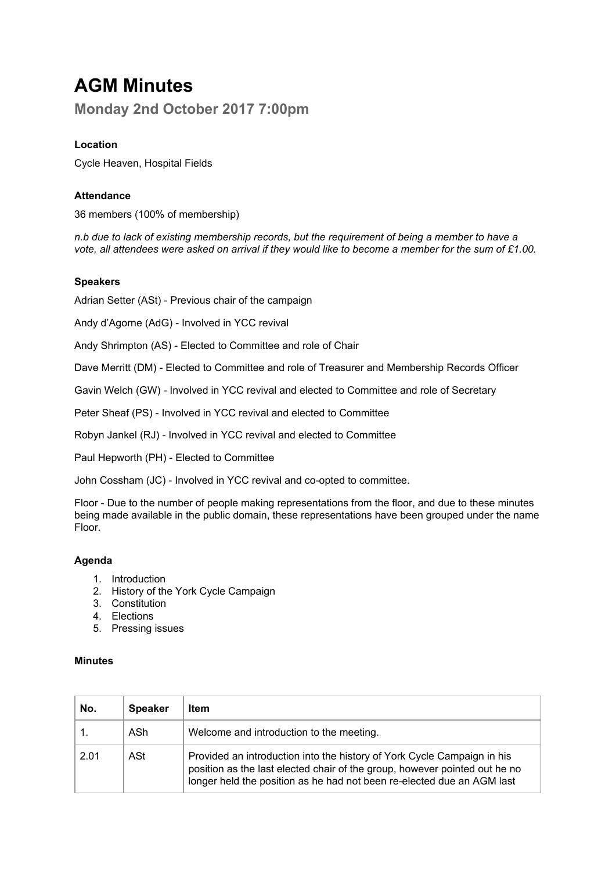# **AGM Minutes**

**Monday 2nd October 2017 7:00pm**

## **Location**

Cycle Heaven, Hospital Fields

### **Attendance**

36 members (100% of membership)

*n.b due to lack of existing membership records, but the requirement of being a member to have a* vote, all attendees were asked on arrival if they would like to become a member for the sum of £1.00.

#### **Speakers**

Adrian Setter (ASt) - Previous chair of the campaign

Andy d'Agorne (AdG) - Involved in YCC revival

Andy Shrimpton (AS) - Elected to Committee and role of Chair

Dave Merritt (DM) - Elected to Committee and role of Treasurer and Membership Records Officer

Gavin Welch (GW) - Involved in YCC revival and elected to Committee and role of Secretary

Peter Sheaf (PS) - Involved in YCC revival and elected to Committee

Robyn Jankel (RJ) - Involved in YCC revival and elected to Committee

Paul Hepworth (PH) - Elected to Committee

John Cossham (JC) - Involved in YCC revival and co-opted to committee.

Floor - Due to the number of people making representations from the floor, and due to these minutes being made available in the public domain, these representations have been grouped under the name Floor.

#### **Agenda**

- 1. Introduction
- 2. History of the York Cycle Campaign
- 3. Constitution
- 4. Elections
- 5. Pressing issues

#### **Minutes**

| No.  | <b>Speaker</b> | ltem                                                                                                                                                                                                                            |
|------|----------------|---------------------------------------------------------------------------------------------------------------------------------------------------------------------------------------------------------------------------------|
|      | ASh            | Welcome and introduction to the meeting.                                                                                                                                                                                        |
| 2.01 | ASt            | Provided an introduction into the history of York Cycle Campaign in his<br>position as the last elected chair of the group, however pointed out he no<br>longer held the position as he had not been re-elected due an AGM last |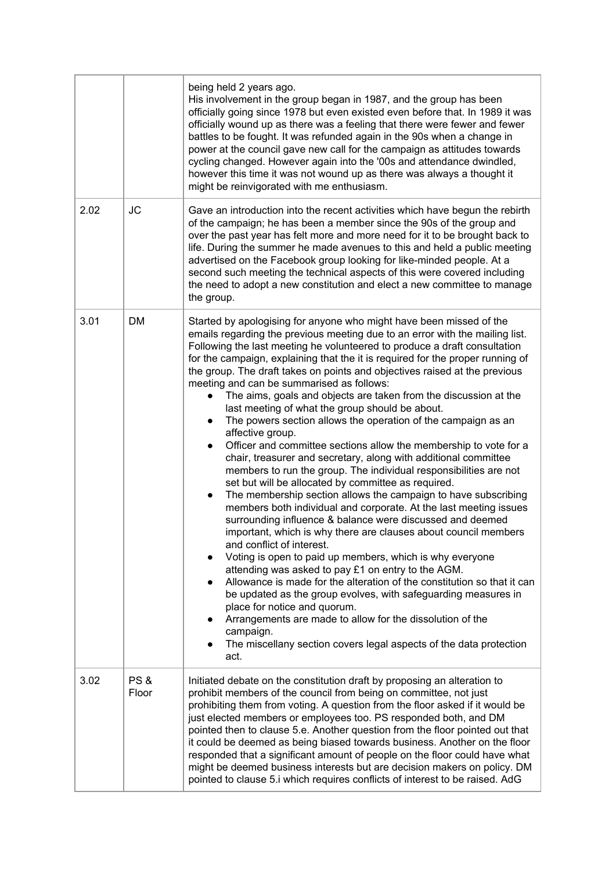|      |                          | being held 2 years ago.<br>His involvement in the group began in 1987, and the group has been<br>officially going since 1978 but even existed even before that. In 1989 it was<br>officially wound up as there was a feeling that there were fewer and fewer<br>battles to be fought. It was refunded again in the 90s when a change in<br>power at the council gave new call for the campaign as attitudes towards<br>cycling changed. However again into the '00s and attendance dwindled,<br>however this time it was not wound up as there was always a thought it<br>might be reinvigorated with me enthusiasm.                                                                                                                                                                                                                                                                                                                                                                                                                                                                                                                                                                                                                                                                                                                                                                                                                                                                                                                                                                                                                                                                                                            |
|------|--------------------------|---------------------------------------------------------------------------------------------------------------------------------------------------------------------------------------------------------------------------------------------------------------------------------------------------------------------------------------------------------------------------------------------------------------------------------------------------------------------------------------------------------------------------------------------------------------------------------------------------------------------------------------------------------------------------------------------------------------------------------------------------------------------------------------------------------------------------------------------------------------------------------------------------------------------------------------------------------------------------------------------------------------------------------------------------------------------------------------------------------------------------------------------------------------------------------------------------------------------------------------------------------------------------------------------------------------------------------------------------------------------------------------------------------------------------------------------------------------------------------------------------------------------------------------------------------------------------------------------------------------------------------------------------------------------------------------------------------------------------------|
| 2.02 | <b>JC</b>                | Gave an introduction into the recent activities which have begun the rebirth<br>of the campaign; he has been a member since the 90s of the group and<br>over the past year has felt more and more need for it to be brought back to<br>life. During the summer he made avenues to this and held a public meeting<br>advertised on the Facebook group looking for like-minded people. At a<br>second such meeting the technical aspects of this were covered including<br>the need to adopt a new constitution and elect a new committee to manage<br>the group.                                                                                                                                                                                                                                                                                                                                                                                                                                                                                                                                                                                                                                                                                                                                                                                                                                                                                                                                                                                                                                                                                                                                                                 |
| 3.01 | <b>DM</b>                | Started by apologising for anyone who might have been missed of the<br>emails regarding the previous meeting due to an error with the mailing list.<br>Following the last meeting he volunteered to produce a draft consultation<br>for the campaign, explaining that the it is required for the proper running of<br>the group. The draft takes on points and objectives raised at the previous<br>meeting and can be summarised as follows:<br>The aims, goals and objects are taken from the discussion at the<br>last meeting of what the group should be about.<br>The powers section allows the operation of the campaign as an<br>$\bullet$<br>affective group.<br>Officer and committee sections allow the membership to vote for a<br>$\bullet$<br>chair, treasurer and secretary, along with additional committee<br>members to run the group. The individual responsibilities are not<br>set but will be allocated by committee as required.<br>The membership section allows the campaign to have subscribing<br>$\bullet$<br>members both individual and corporate. At the last meeting issues<br>surrounding influence & balance were discussed and deemed<br>important, which is why there are clauses about council members<br>and conflict of interest.<br>Voting is open to paid up members, which is why everyone<br>attending was asked to pay £1 on entry to the AGM.<br>Allowance is made for the alteration of the constitution so that it can<br>be updated as the group evolves, with safeguarding measures in<br>place for notice and quorum.<br>Arrangements are made to allow for the dissolution of the<br>campaign.<br>The miscellany section covers legal aspects of the data protection<br>act. |
| 3.02 | <b>PS &amp;</b><br>Floor | Initiated debate on the constitution draft by proposing an alteration to<br>prohibit members of the council from being on committee, not just<br>prohibiting them from voting. A question from the floor asked if it would be<br>just elected members or employees too. PS responded both, and DM<br>pointed then to clause 5.e. Another question from the floor pointed out that<br>it could be deemed as being biased towards business. Another on the floor<br>responded that a significant amount of people on the floor could have what<br>might be deemed business interests but are decision makers on policy. DM<br>pointed to clause 5.i which requires conflicts of interest to be raised. AdG                                                                                                                                                                                                                                                                                                                                                                                                                                                                                                                                                                                                                                                                                                                                                                                                                                                                                                                                                                                                                        |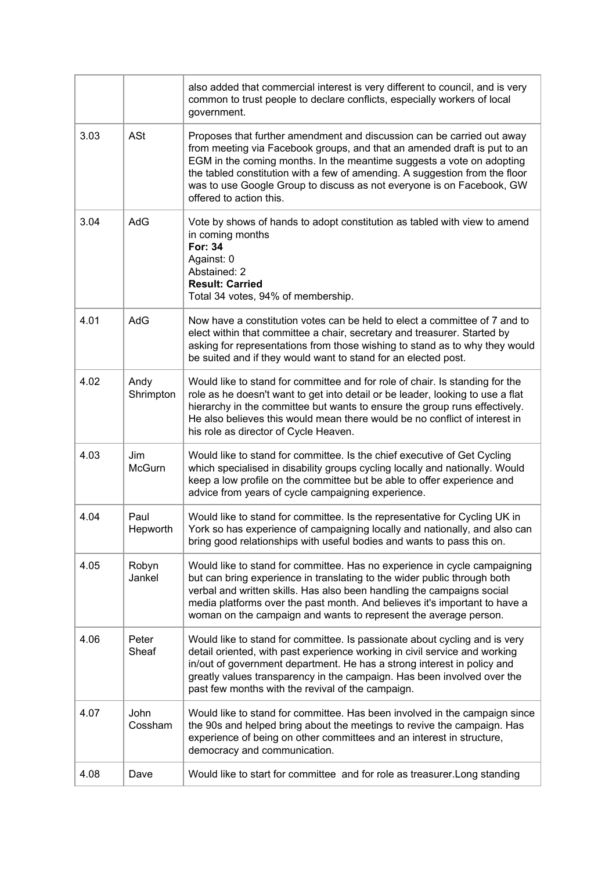|      |                   | also added that commercial interest is very different to council, and is very<br>common to trust people to declare conflicts, especially workers of local<br>government.                                                                                                                                                                                                                                       |
|------|-------------------|----------------------------------------------------------------------------------------------------------------------------------------------------------------------------------------------------------------------------------------------------------------------------------------------------------------------------------------------------------------------------------------------------------------|
| 3.03 | <b>ASt</b>        | Proposes that further amendment and discussion can be carried out away<br>from meeting via Facebook groups, and that an amended draft is put to an<br>EGM in the coming months. In the meantime suggests a vote on adopting<br>the tabled constitution with a few of amending. A suggestion from the floor<br>was to use Google Group to discuss as not everyone is on Facebook, GW<br>offered to action this. |
| 3.04 | AdG               | Vote by shows of hands to adopt constitution as tabled with view to amend<br>in coming months<br><b>For: 34</b><br>Against: 0<br>Abstained: 2<br><b>Result: Carried</b><br>Total 34 votes, 94% of membership.                                                                                                                                                                                                  |
| 4.01 | AdG               | Now have a constitution votes can be held to elect a committee of 7 and to<br>elect within that committee a chair, secretary and treasurer. Started by<br>asking for representations from those wishing to stand as to why they would<br>be suited and if they would want to stand for an elected post.                                                                                                        |
| 4.02 | Andy<br>Shrimpton | Would like to stand for committee and for role of chair. Is standing for the<br>role as he doesn't want to get into detail or be leader, looking to use a flat<br>hierarchy in the committee but wants to ensure the group runs effectively.<br>He also believes this would mean there would be no conflict of interest in<br>his role as director of Cycle Heaven.                                            |
| 4.03 | Jim<br>McGurn     | Would like to stand for committee. Is the chief executive of Get Cycling<br>which specialised in disability groups cycling locally and nationally. Would<br>keep a low profile on the committee but be able to offer experience and<br>advice from years of cycle campaigning experience.                                                                                                                      |
| 4.04 | Paul<br>Hepworth  | Would like to stand for committee. Is the representative for Cycling UK in<br>York so has experience of campaigning locally and nationally, and also can<br>bring good relationships with useful bodies and wants to pass this on.                                                                                                                                                                             |
| 4.05 | Robyn<br>Jankel   | Would like to stand for committee. Has no experience in cycle campaigning<br>but can bring experience in translating to the wider public through both<br>verbal and written skills. Has also been handling the campaigns social<br>media platforms over the past month. And believes it's important to have a<br>woman on the campaign and wants to represent the average person.                              |
| 4.06 | Peter<br>Sheaf    | Would like to stand for committee. Is passionate about cycling and is very<br>detail oriented, with past experience working in civil service and working<br>in/out of government department. He has a strong interest in policy and<br>greatly values transparency in the campaign. Has been involved over the<br>past few months with the revival of the campaign.                                            |
| 4.07 | John<br>Cossham   | Would like to stand for committee. Has been involved in the campaign since<br>the 90s and helped bring about the meetings to revive the campaign. Has<br>experience of being on other committees and an interest in structure,<br>democracy and communication.                                                                                                                                                 |
| 4.08 | Dave              | Would like to start for committee and for role as treasurer. Long standing                                                                                                                                                                                                                                                                                                                                     |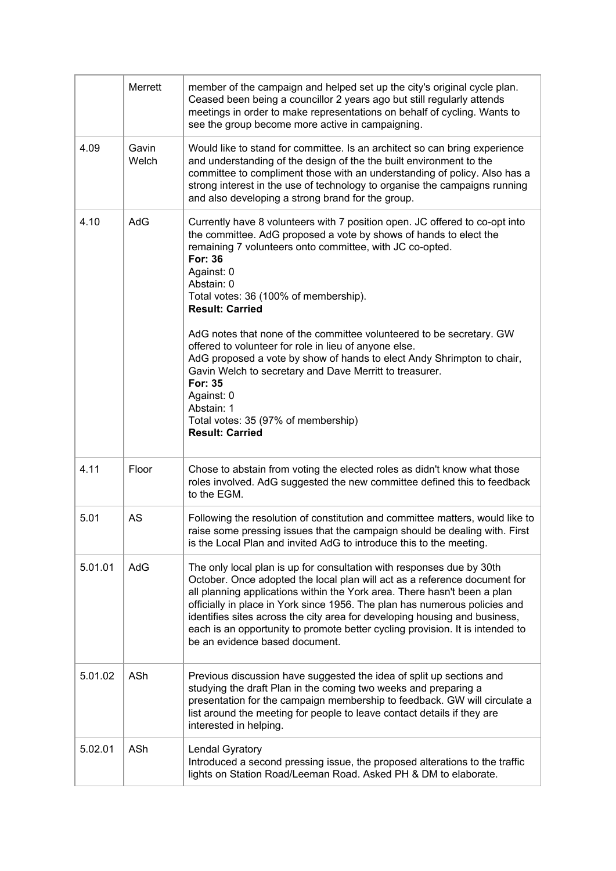|         | Merrett        | member of the campaign and helped set up the city's original cycle plan.<br>Ceased been being a councillor 2 years ago but still regularly attends<br>meetings in order to make representations on behalf of cycling. Wants to<br>see the group become more active in campaigning.                                                                                                                                                                                                                                                                                                                                                                                                                          |
|---------|----------------|-------------------------------------------------------------------------------------------------------------------------------------------------------------------------------------------------------------------------------------------------------------------------------------------------------------------------------------------------------------------------------------------------------------------------------------------------------------------------------------------------------------------------------------------------------------------------------------------------------------------------------------------------------------------------------------------------------------|
| 4.09    | Gavin<br>Welch | Would like to stand for committee. Is an architect so can bring experience<br>and understanding of the design of the the built environment to the<br>committee to compliment those with an understanding of policy. Also has a<br>strong interest in the use of technology to organise the campaigns running<br>and also developing a strong brand for the group.                                                                                                                                                                                                                                                                                                                                           |
| 4.10    | AdG            | Currently have 8 volunteers with 7 position open. JC offered to co-opt into<br>the committee. AdG proposed a vote by shows of hands to elect the<br>remaining 7 volunteers onto committee, with JC co-opted.<br><b>For: 36</b><br>Against: 0<br>Abstain: 0<br>Total votes: 36 (100% of membership).<br><b>Result: Carried</b><br>AdG notes that none of the committee volunteered to be secretary. GW<br>offered to volunteer for role in lieu of anyone else.<br>AdG proposed a vote by show of hands to elect Andy Shrimpton to chair,<br>Gavin Welch to secretary and Dave Merritt to treasurer.<br>For: 35<br>Against: 0<br>Abstain: 1<br>Total votes: 35 (97% of membership)<br><b>Result: Carried</b> |
| 4.11    | Floor          | Chose to abstain from voting the elected roles as didn't know what those<br>roles involved. AdG suggested the new committee defined this to feedback<br>to the EGM.                                                                                                                                                                                                                                                                                                                                                                                                                                                                                                                                         |
| 5.01    | <b>AS</b>      | Following the resolution of constitution and committee matters, would like to<br>raise some pressing issues that the campaign should be dealing with. First<br>is the Local Plan and invited AdG to introduce this to the meeting.                                                                                                                                                                                                                                                                                                                                                                                                                                                                          |
| 5.01.01 | AdG            | The only local plan is up for consultation with responses due by 30th<br>October. Once adopted the local plan will act as a reference document for<br>all planning applications within the York area. There hasn't been a plan<br>officially in place in York since 1956. The plan has numerous policies and<br>identifies sites across the city area for developing housing and business,<br>each is an opportunity to promote better cycling provision. It is intended to<br>be an evidence based document.                                                                                                                                                                                               |
| 5.01.02 | ASh            | Previous discussion have suggested the idea of split up sections and<br>studying the draft Plan in the coming two weeks and preparing a<br>presentation for the campaign membership to feedback. GW will circulate a<br>list around the meeting for people to leave contact details if they are<br>interested in helping.                                                                                                                                                                                                                                                                                                                                                                                   |
| 5.02.01 | ASh            | Lendal Gyratory<br>Introduced a second pressing issue, the proposed alterations to the traffic<br>lights on Station Road/Leeman Road. Asked PH & DM to elaborate.                                                                                                                                                                                                                                                                                                                                                                                                                                                                                                                                           |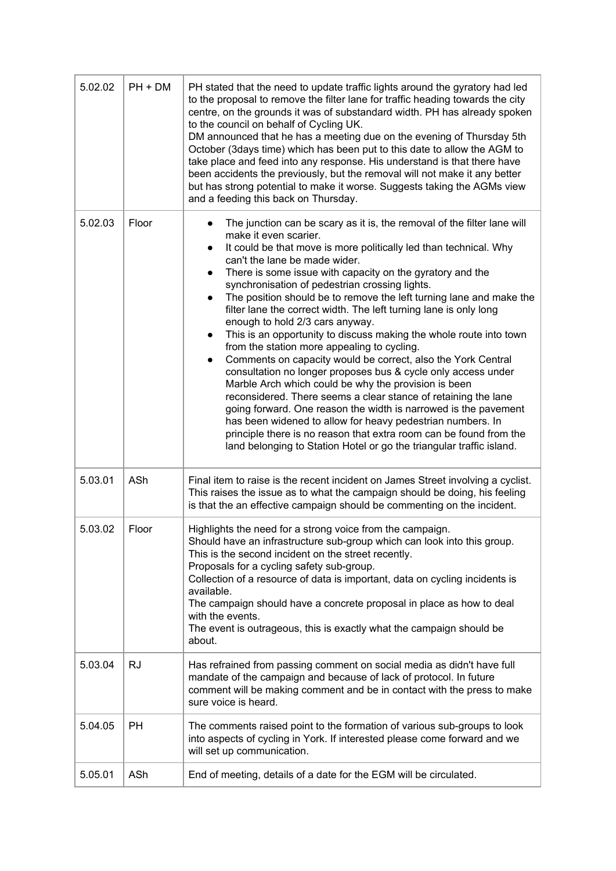| 5.02.02 | $PH + DM$ | PH stated that the need to update traffic lights around the gyratory had led<br>to the proposal to remove the filter lane for traffic heading towards the city<br>centre, on the grounds it was of substandard width. PH has already spoken<br>to the council on behalf of Cycling UK.<br>DM announced that he has a meeting due on the evening of Thursday 5th<br>October (3days time) which has been put to this date to allow the AGM to<br>take place and feed into any response. His understand is that there have<br>been accidents the previously, but the removal will not make it any better<br>but has strong potential to make it worse. Suggests taking the AGMs view<br>and a feeding this back on Thursday.                                                                                                                                                                                                                                                                                                                                                                                                                                                                                               |  |
|---------|-----------|-------------------------------------------------------------------------------------------------------------------------------------------------------------------------------------------------------------------------------------------------------------------------------------------------------------------------------------------------------------------------------------------------------------------------------------------------------------------------------------------------------------------------------------------------------------------------------------------------------------------------------------------------------------------------------------------------------------------------------------------------------------------------------------------------------------------------------------------------------------------------------------------------------------------------------------------------------------------------------------------------------------------------------------------------------------------------------------------------------------------------------------------------------------------------------------------------------------------------|--|
| 5.02.03 | Floor     | The junction can be scary as it is, the removal of the filter lane will<br>make it even scarier.<br>It could be that move is more politically led than technical. Why<br>$\bullet$<br>can't the lane be made wider.<br>There is some issue with capacity on the gyratory and the<br>$\bullet$<br>synchronisation of pedestrian crossing lights.<br>The position should be to remove the left turning lane and make the<br>$\bullet$<br>filter lane the correct width. The left turning lane is only long<br>enough to hold 2/3 cars anyway.<br>This is an opportunity to discuss making the whole route into town<br>$\bullet$<br>from the station more appealing to cycling.<br>Comments on capacity would be correct, also the York Central<br>consultation no longer proposes bus & cycle only access under<br>Marble Arch which could be why the provision is been<br>reconsidered. There seems a clear stance of retaining the lane<br>going forward. One reason the width is narrowed is the pavement<br>has been widened to allow for heavy pedestrian numbers. In<br>principle there is no reason that extra room can be found from the<br>land belonging to Station Hotel or go the triangular traffic island. |  |
| 5.03.01 | ASh       | Final item to raise is the recent incident on James Street involving a cyclist.<br>This raises the issue as to what the campaign should be doing, his feeling<br>is that the an effective campaign should be commenting on the incident.                                                                                                                                                                                                                                                                                                                                                                                                                                                                                                                                                                                                                                                                                                                                                                                                                                                                                                                                                                                |  |
| 5.03.02 | Floor     | Highlights the need for a strong voice from the campaign.<br>Should have an infrastructure sub-group which can look into this group.<br>This is the second incident on the street recently.<br>Proposals for a cycling safety sub-group.<br>Collection of a resource of data is important, data on cycling incidents is<br>available.<br>The campaign should have a concrete proposal in place as how to deal<br>with the events.<br>The event is outrageous, this is exactly what the campaign should be<br>about.                                                                                                                                                                                                                                                                                                                                                                                                                                                                                                                                                                                                                                                                                                     |  |
| 5.03.04 | RJ        | Has refrained from passing comment on social media as didn't have full<br>mandate of the campaign and because of lack of protocol. In future<br>comment will be making comment and be in contact with the press to make<br>sure voice is heard.                                                                                                                                                                                                                                                                                                                                                                                                                                                                                                                                                                                                                                                                                                                                                                                                                                                                                                                                                                         |  |
| 5.04.05 | PH        | The comments raised point to the formation of various sub-groups to look<br>into aspects of cycling in York. If interested please come forward and we<br>will set up communication.                                                                                                                                                                                                                                                                                                                                                                                                                                                                                                                                                                                                                                                                                                                                                                                                                                                                                                                                                                                                                                     |  |
| 5.05.01 | ASh       | End of meeting, details of a date for the EGM will be circulated.                                                                                                                                                                                                                                                                                                                                                                                                                                                                                                                                                                                                                                                                                                                                                                                                                                                                                                                                                                                                                                                                                                                                                       |  |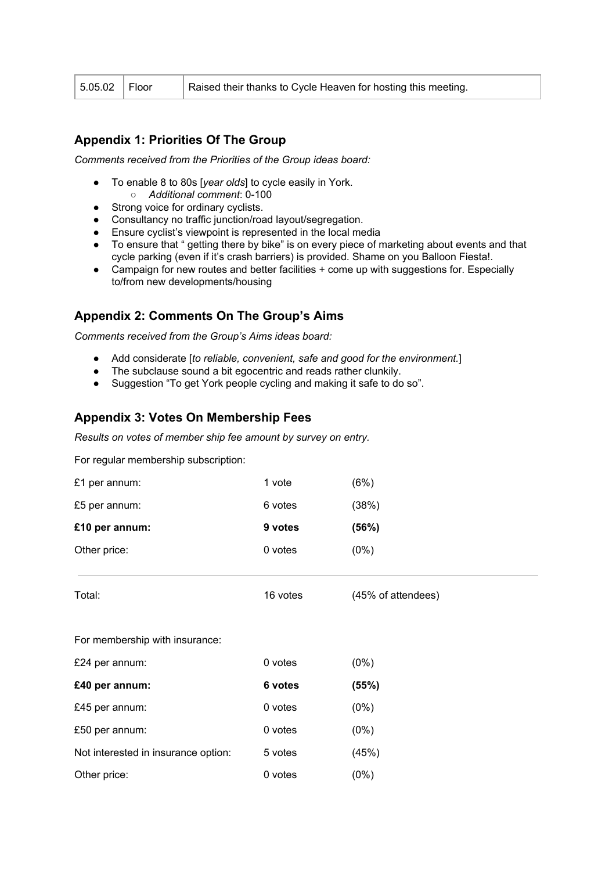| $5.05.02$   Floor<br>Raised their thanks to Cycle Heaven for hosting this meeting. |  |
|------------------------------------------------------------------------------------|--|
|------------------------------------------------------------------------------------|--|

# **Appendix 1: Priorities Of The Group**

*Comments received from the Priorities of the Group ideas board:*

- To enable 8 to 80s [*year olds*] to cycle easily in York. ○ *Additional comment*: 0-100
- Strong voice for ordinary cyclists.
- Consultancy no traffic junction/road layout/segregation.
- Ensure cyclist's viewpoint is represented in the local media
- To ensure that " getting there by bike" is on every piece of marketing about events and that cycle parking (even if it's crash barriers) is provided. Shame on you Balloon Fiesta!.
- Campaign for new routes and better facilities + come up with suggestions for. Especially to/from new developments/housing

# **Appendix 2: Comments On The Group's Aims**

*Comments received from the Group's Aims ideas board:*

- Add considerate [*to reliable, convenient, safe and good for the environment.*]
- The subclause sound a bit egocentric and reads rather clunkily.
- Suggestion "To get York people cycling and making it safe to do so".

## **Appendix 3: Votes On Membership Fees**

*Results on votes of member ship fee amount by survey on entry.*

For regular membership subscription:

| £1 per annum:  | 1 vote  | (6%)  |
|----------------|---------|-------|
| £5 per annum:  | 6 votes | (38%) |
|                |         |       |
| £10 per annum: | 9 votes | (56%) |

| Total:                              | 16 votes | (45% of attendees) |
|-------------------------------------|----------|--------------------|
| For membership with insurance:      |          |                    |
| £24 per annum:                      | 0 votes  | $(0\%)$            |
| £40 per annum:                      | 6 votes  | (55%)              |
| £45 per annum:                      | 0 votes  | $(0\%)$            |
| £50 per annum:                      | 0 votes  | $(0\%)$            |
| Not interested in insurance option: | 5 votes  | (45%)              |
| Other price:                        | 0 votes  | (0%)               |